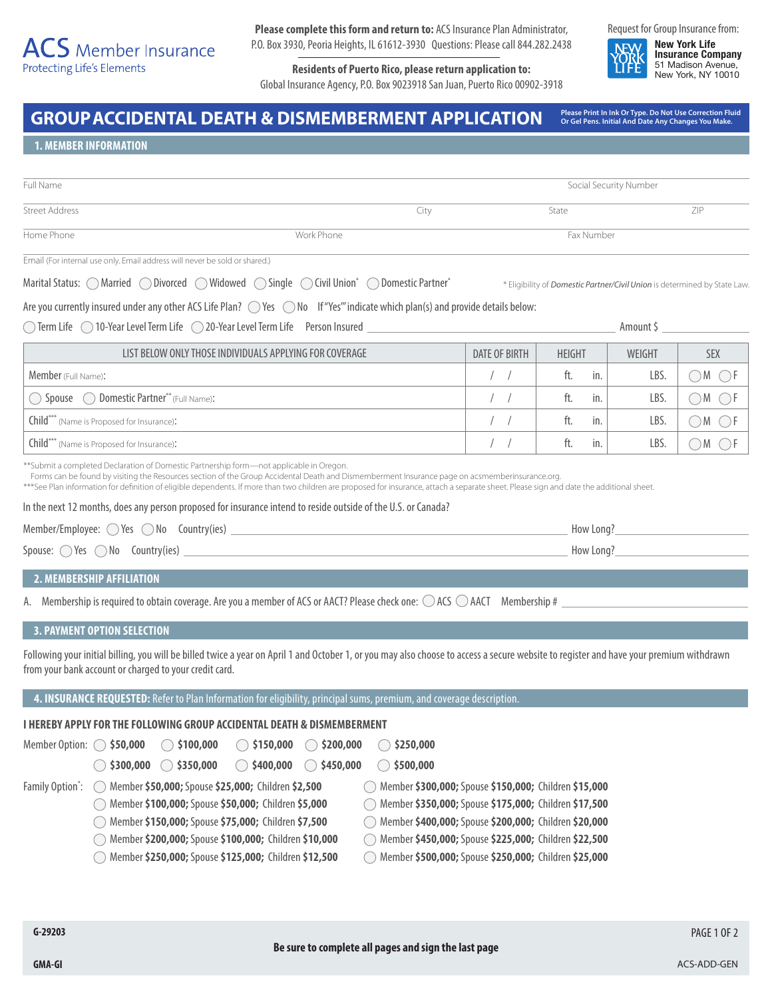# $\overline{ACS}$  Member Insurance **Protecting Life's Elements**

**Please complete this form and return to:** ACS Insurance Plan Administrator, P.O. Box 3930, Peoria Heights, IL 61612-3930 Questions: Please call 844.282.2438

**Residents of Puerto Rico, please return application to:** Global Insurance Agency, P.O. Box 9023918 San Juan, Puerto Rico 00902-3918 Request for Group Insurance from:

**New York Life Insurance Company** 51 Madison Avenue, New York, NY 10010

GROUP ACCIDENTAL DEATH & DISMEMBERMENT APPLICATION Please Print In Ink Or Type. Do Not Use Correction Fluid

**Or Gel Pens. Initial And Date Any Changes You Make.**

**1. MEMBER INFORMATION**

| Full Name             |            |      | Social Security Number |     |
|-----------------------|------------|------|------------------------|-----|
| <b>Street Address</b> |            | City | State                  | ZIP |
| Home Phone            | Work Phone |      | Fax Number             |     |

Marital Status: MarriedDivorcedWidowedSingleCivil Union\* Domestic Partner\*

\* Eligibility of *Domestic Partner/Civil Union* is determined by State Law.

|  |  |  | Are you currently insured under any other ACS Life Plan? O Yes O No If "Yes" indicate which plan(s) and provide details below: |
|--|--|--|--------------------------------------------------------------------------------------------------------------------------------|
|--|--|--|--------------------------------------------------------------------------------------------------------------------------------|

◯ Term Life ◯ 10-Year Level Term Life ◯ 20-Year Level Term Life Person Insured <u>Communitie Person Insured Amount \$</u>

| LIST BELOW ONLY THOSE INDIVIDUALS APPLYING FOR COVERAGE | DATE OF BIRTH | <b>HEIGHT</b> | WEIGHT | <b>SEX</b> |
|---------------------------------------------------------|---------------|---------------|--------|------------|
| <b>Member</b> (Full Name):                              |               | ft.<br>in.    | LBS    |            |
| Spouse  (Domestic Partner** (Full Name):                |               | ft.<br>in.    | LBS.   |            |
| Child*** (Name is Proposed for Insurance):              |               | ft.<br>in.    | LBS.   |            |
| Child*** (Name is Proposed for Insurance):              |               | In.           | LBS.   |            |

\*\*Submit a completed Declaration of Domestic Partnership form—not applicable in Oregon.

Forms can be found by visiting the Resources section of the Group Accidental Death and Dismemberment Insurance page on acsmemberinsurance.org.

\*\*\*See Plan information for definition of eligible dependents. If more than two children are proposed for insurance, attach a separate sheet. Please sign and date the additional sheet.

In the next 12 months, does any person proposed for insurance intend to reside outside of the U.S. or Canada?

| Member/Employee: $\bigcirc$ Yes $\bigcirc$ No Country(ies) | How Long? |
|------------------------------------------------------------|-----------|
| Spouse: $\bigcirc$ Yes $\bigcirc$ No Country(ies)          | How Long? |

## **2. MEMBERSHIP AFFILIATION**

A. Membership is required to obtain coverage. Are you a member of ACS or AACT? Please check one:  $\bigcirc$  ACS  $\bigcirc$  AACT Membership #

## **3. PAYMENT OPTION SELECTION**

Following your initial billing, you will be billed twice a year on April 1 and October 1, or you may also choose to access a secure website to register and have your premium withdrawn from your bank account or charged to your credit card.

**4. INSURANCE REQUESTED:** Refer to Plan Information for eligibility, principal sums, premium, and coverage description.

# **I HEREBY APPLY FOR THE FOLLOWING GROUP ACCIDENTAL DEATH & DISMEMBERMENT**

| Member Option: $\bigcirc$ \$50,000 |                      | $\bigcirc$ \$100,000                                  | $\bigcirc$ \$150,000 | $\bigcirc$ \$200,000 | \$250,000                                               |  |
|------------------------------------|----------------------|-------------------------------------------------------|----------------------|----------------------|---------------------------------------------------------|--|
|                                    | $\bigcirc$ \$300,000 | $\bigcirc$ \$350,000                                  | \$400,000            | $\bigcirc$ \$450,000 | \$500,000                                               |  |
| Family Option":                    | $($ )                | Member \$50,000; Spouse \$25,000; Children \$2,500    |                      |                      | Member \$300,000; Spouse \$150,000; Children \$15,000   |  |
|                                    |                      | Member \$100,000; Spouse \$50,000; Children \$5,000   |                      |                      | ◯ Member \$350,000; Spouse \$175,000; Children \$17,500 |  |
|                                    |                      | ◯ Member \$150,000; Spouse \$75,000; Children \$7,500 |                      |                      | Member \$400,000; Spouse \$200,000; Children \$20,000   |  |
|                                    |                      | Member \$200,000; Spouse \$100,000; Children \$10,000 |                      |                      | ◯ Member \$450,000; Spouse \$225,000; Children \$22,500 |  |
|                                    |                      | Member \$250,000; Spouse \$125,000; Children \$12,500 |                      |                      | Member \$500,000; Spouse \$250,000; Children \$25,000   |  |
|                                    |                      |                                                       |                      |                      |                                                         |  |

PAGE 1 OF 2